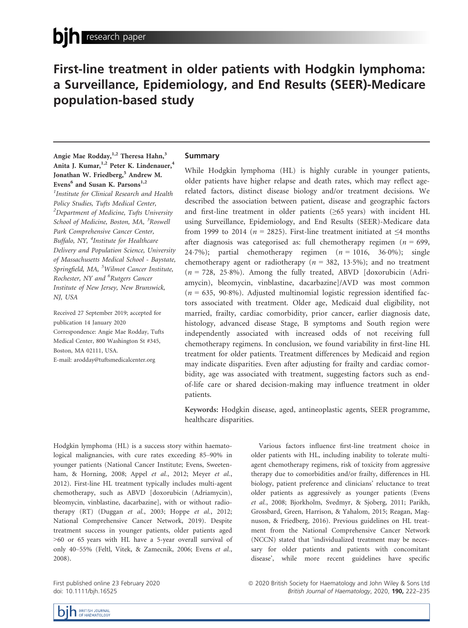# First-line treatment in older patients with Hodgkin lymphoma: a Surveillance, Epidemiology, and End Results (SEER)-Medicare population-based study

Angie Mae Rodday,<sup>1,2</sup> Theresa Hahn,<sup>3</sup> Anita J. Kumar,<sup>1,2</sup> Peter K. Lindenauer,<sup>4</sup> Jonathan W. Friedberg,<sup>5</sup> Andrew M. Evens<sup>6</sup> and Susan K. Parsons<sup>1,2</sup> <sup>1</sup>Institute for Clinical Research and Health Policy Studies, Tufts Medical Center,  $^2$ Department of Medicine, Tufts University School of Medicine, Boston, MA, <sup>3</sup>Roswell Park Comprehensive Cancer Center, Buffalo, NY, <sup>4</sup>Institute for Healthcare Delivery and Population Science, University of Massachusetts Medical School - Baystate, Springfield, MA, <sup>5</sup>Wilmot Cancer Institute, Rochester, NY and <sup>6</sup>Rutgers Cancer

Institute of New Jersey, New Brunswick, NJ, USA

Received 27 September 2019; accepted for publication 14 January 2020 Correspondence: Angie Mae Rodday, Tufts Medical Center, 800 Washington St #345, Boston, MA 02111, USA. E-mail: [arodday@tuftsmedicalcenter.org](mailto:)

# Summary

While Hodgkin lymphoma (HL) is highly curable in younger patients, older patients have higher relapse and death rates, which may reflect agerelated factors, distinct disease biology and/or treatment decisions. We described the association between patient, disease and geographic factors and first-line treatment in older patients ( $\geq 65$  years) with incident HL using Surveillance, Epidemiology, and End Results (SEER)-Medicare data from 1999 to 2014 ( $n = 2825$ ). First-line treatment initiated at  $\leq 4$  months after diagnosis was categorised as: full chemotherapy regimen ( $n = 699$ , 24.7%); partial chemotherapy regimen  $(n = 1016, 36.0\%)$ ; single chemotherapy agent or radiotherapy ( $n = 382, 13.5\%$ ); and no treatment  $(n = 728, 25.8\%)$ . Among the fully treated, ABVD [doxorubicin (Adriamycin), bleomycin, vinblastine, dacarbazine]/AVD was most common  $(n = 635, 90.8\%)$ . Adjusted multinomial logistic regression identified factors associated with treatment. Older age, Medicaid dual eligibility, not married, frailty, cardiac comorbidity, prior cancer, earlier diagnosis date, histology, advanced disease Stage, B symptoms and South region were independently associated with increased odds of not receiving full chemotherapy regimens. In conclusion, we found variability in first-line HL treatment for older patients. Treatment differences by Medicaid and region may indicate disparities. Even after adjusting for frailty and cardiac comorbidity, age was associated with treatment, suggesting factors such as endof-life care or shared decision-making may influence treatment in older patients.

Keywords: Hodgkin disease, aged, antineoplastic agents, SEER programme, healthcare disparities.

Hodgkin lymphoma (HL) is a success story within haematological malignancies, with cure rates exceeding 85–90% in younger patients (National Cancer Institute; Evens, Sweetenham, & Horning, 2008; Appel et al., 2012; Meyer et al., 2012). First-line HL treatment typically includes multi-agent chemotherapy, such as ABVD [doxorubicin (Adriamycin), bleomycin, vinblastine, dacarbazine], with or without radiotherapy (RT) (Duggan et al., 2003; Hoppe et al., 2012; National Comprehensive Cancer Network, 2019). Despite treatment success in younger patients, older patients aged >60 or 65 years with HL have a 5-year overall survival of only 40–55% (Feltl, Vitek, & Zamecnik, 2006; Evens et al., 2008).

Various factors influence first-line treatment choice in older patients with HL, including inability to tolerate multiagent chemotherapy regimens, risk of toxicity from aggressive therapy due to comorbidities and/or frailty, differences in HL biology, patient preference and clinicians' reluctance to treat older patients as aggressively as younger patients (Evens et al., 2008; Bjorkholm, Svedmyr, & Sjoberg, 2011; Parikh, Grossbard, Green, Harrison, & Yahalom, 2015; Reagan, Magnuson, & Friedberg, 2016). Previous guidelines on HL treatment from the National Comprehensive Cancer Network (NCCN) stated that 'individualized treatment may be necessary for older patients and patients with concomitant disease', while more recent guidelines have specific

First published online 23 February 2020 doi: 10.1111/bjh.16525

ª 2020 British Society for Haematology and John Wiley & Sons Ltd British Journal of Haematology, 2020, 190, 222-235

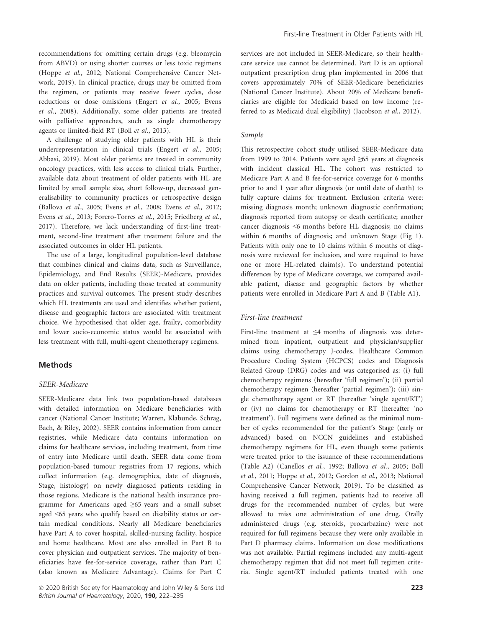recommendations for omitting certain drugs (e.g. bleomycin from ABVD) or using shorter courses or less toxic regimens (Hoppe et al., 2012; National Comprehensive Cancer Network, 2019). In clinical practice, drugs may be omitted from the regimen, or patients may receive fewer cycles, dose reductions or dose omissions (Engert et al., 2005; Evens et al., 2008). Additionally, some older patients are treated with palliative approaches, such as single chemotherapy agents or limited-field RT (Boll et al., 2013).

A challenge of studying older patients with HL is their underrepresentation in clinical trials (Engert et al., 2005; Abbasi, 2019). Most older patients are treated in community oncology practices, with less access to clinical trials. Further, available data about treatment of older patients with HL are limited by small sample size, short follow-up, decreased generalisability to community practices or retrospective design (Ballova et al., 2005; Evens et al., 2008; Evens et al., 2012; Evens et al., 2013; Forero-Torres et al., 2015; Friedberg et al., 2017). Therefore, we lack understanding of first-line treatment, second-line treatment after treatment failure and the associated outcomes in older HL patients.

The use of a large, longitudinal population-level database that combines clinical and claims data, such as Surveillance, Epidemiology, and End Results (SEER)-Medicare, provides data on older patients, including those treated at community practices and survival outcomes. The present study describes which HL treatments are used and identifies whether patient, disease and geographic factors are associated with treatment choice. We hypothesised that older age, frailty, comorbidity and lower socio-economic status would be associated with less treatment with full, multi-agent chemotherapy regimens.

# **Methods**

#### SEER-Medicare

SEER-Medicare data link two population-based databases with detailed information on Medicare beneficiaries with cancer (National Cancer Institute; Warren, Klabunde, Schrag, Bach, & Riley, 2002). SEER contains information from cancer registries, while Medicare data contains information on claims for healthcare services, including treatment, from time of entry into Medicare until death. SEER data come from population-based tumour registries from 17 regions, which collect information (e.g. demographics, date of diagnosis, Stage, histology) on newly diagnosed patients residing in those regions. Medicare is the national health insurance programme for Americans aged ≥65 years and a small subset aged <65 years who qualify based on disability status or certain medical conditions. Nearly all Medicare beneficiaries have Part A to cover hospital, skilled-nursing facility, hospice and home healthcare. Most are also enrolled in Part B to cover physician and outpatient services. The majority of beneficiaries have fee-for-service coverage, rather than Part C (also known as Medicare Advantage). Claims for Part C services are not included in SEER-Medicare, so their healthcare service use cannot be determined. Part D is an optional outpatient prescription drug plan implemented in 2006 that covers approximately 70% of SEER-Medicare beneficiaries (National Cancer Institute). About 20% of Medicare beneficiaries are eligible for Medicaid based on low income (referred to as Medicaid dual eligibility) (Jacobson et al., 2012).

#### Sample

This retrospective cohort study utilised SEER-Medicare data from 1999 to 2014. Patients were aged ≥65 years at diagnosis with incident classical HL. The cohort was restricted to Medicare Part A and B fee-for-service coverage for 6 months prior to and 1 year after diagnosis (or until date of death) to fully capture claims for treatment. Exclusion criteria were: missing diagnosis month; unknown diagnostic confirmation; diagnosis reported from autopsy or death certificate; another cancer diagnosis <6 months before HL diagnosis; no claims within 6 months of diagnosis; and unknown Stage (Fig 1). Patients with only one to 10 claims within 6 months of diagnosis were reviewed for inclusion, and were required to have one or more HL-related claim(s). To understand potential differences by type of Medicare coverage, we compared available patient, disease and geographic factors by whether patients were enrolled in Medicare Part A and B (Table A1).

### First-line treatment

First-line treatment at ≤4 months of diagnosis was determined from inpatient, outpatient and physician/supplier claims using chemotherapy J-codes, Healthcare Common Procedure Coding System (HCPCS) codes and Diagnosis Related Group (DRG) codes and was categorised as: (i) full chemotherapy regimens (hereafter 'full regimen'); (ii) partial chemotherapy regimen (hereafter 'partial regimen'); (iii) single chemotherapy agent or RT (hereafter 'single agent/RT') or (iv) no claims for chemotherapy or RT (hereafter 'no treatment'). Full regimens were defined as the minimal number of cycles recommended for the patient's Stage (early or advanced) based on NCCN guidelines and established chemotherapy regimens for HL, even though some patients were treated prior to the issuance of these recommendations (Table A2) (Canellos et al., 1992; Ballova et al., 2005; Boll et al., 2011; Hoppe et al., 2012; Gordon et al., 2013; National Comprehensive Cancer Network, 2019). To be classified as having received a full regimen, patients had to receive all drugs for the recommended number of cycles, but were allowed to miss one administration of one drug. Orally administered drugs (e.g. steroids, procarbazine) were not required for full regimens because they were only available in Part D pharmacy claims. Information on dose modifications was not available. Partial regimens included any multi-agent chemotherapy regimen that did not meet full regimen criteria. Single agent/RT included patients treated with one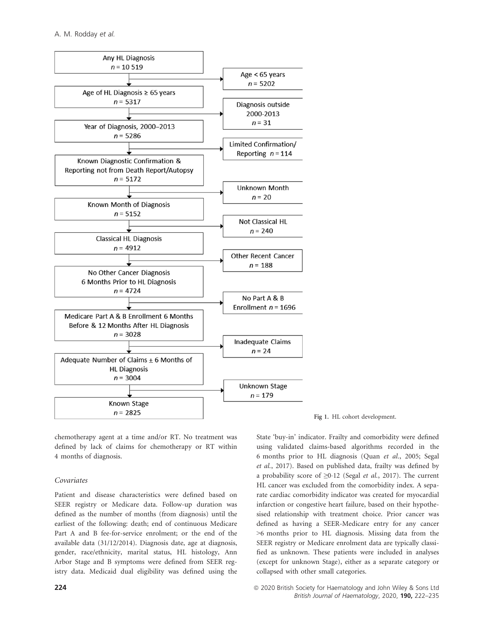

chemotherapy agent at a time and/or RT. No treatment was defined by lack of claims for chemotherapy or RT within 4 months of diagnosis.

# Covariates

Patient and disease characteristics were defined based on SEER registry or Medicare data. Follow-up duration was defined as the number of months (from diagnosis) until the earliest of the following: death; end of continuous Medicare Part A and B fee-for-service enrolment; or the end of the available data (31/12/2014). Diagnosis date, age at diagnosis, gender, race/ethnicity, marital status, HL histology, Ann Arbor Stage and B symptoms were defined from SEER registry data. Medicaid dual eligibility was defined using the

Fig 1. HL cohort development.

State 'buy-in' indicator. Frailty and comorbidity were defined using validated claims-based algorithms recorded in the 6 months prior to HL diagnosis (Quan et al., 2005; Segal et al., 2017). Based on published data, frailty was defined by a probability score of ≥0.12 (Segal *et al.*, 2017). The current HL cancer was excluded from the comorbidity index. A separate cardiac comorbidity indicator was created for myocardial infarction or congestive heart failure, based on their hypothesised relationship with treatment choice. Prior cancer was defined as having a SEER-Medicare entry for any cancer >6 months prior to HL diagnosis. Missing data from the SEER registry or Medicare enrolment data are typically classified as unknown. These patients were included in analyses (except for unknown Stage), either as a separate category or collapsed with other small categories.

**<sup>224</sup> 224 224 224 224 224 225 226 2020** British Society for Haematology and John Wiley & Sons Ltd British Journal of Haematology, 2020, 190, 222–235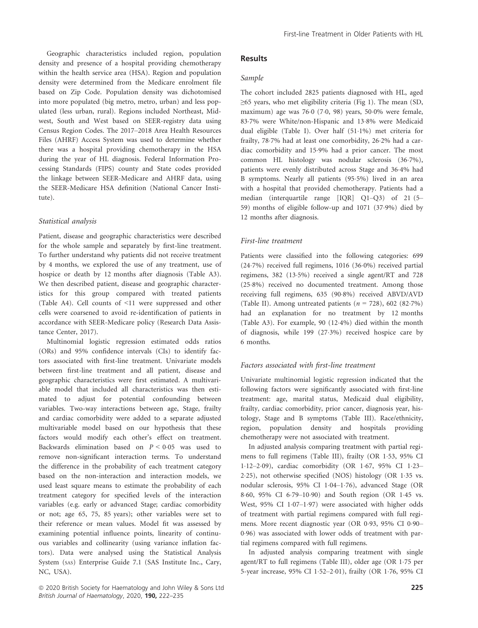Geographic characteristics included region, population density and presence of a hospital providing chemotherapy within the health service area (HSA). Region and population density were determined from the Medicare enrolment file based on Zip Code. Population density was dichotomised into more populated (big metro, metro, urban) and less populated (less urban, rural). Regions included Northeast, Midwest, South and West based on SEER-registry data using Census Region Codes. The 2017–2018 Area Health Resources Files (AHRF) Access System was used to determine whether there was a hospital providing chemotherapy in the HSA during the year of HL diagnosis. Federal Information Processing Standards (FIPS) county and State codes provided the linkage between SEER-Medicare and AHRF data, using the SEER-Medicare HSA definition (National Cancer Institute).

### Statistical analysis

Patient, disease and geographic characteristics were described for the whole sample and separately by first-line treatment. To further understand why patients did not receive treatment by 4 months, we explored the use of any treatment, use of hospice or death by 12 months after diagnosis (Table A3). We then described patient, disease and geographic characteristics for this group compared with treated patients (Table A4). Cell counts of <11 were suppressed and other cells were coarsened to avoid re-identification of patients in accordance with SEER-Medicare policy (Research Data Assistance Center, 2017).

Multinomial logistic regression estimated odds ratios (ORs) and 95% confidence intervals (CIs) to identify factors associated with first-line treatment. Univariate models between first-line treatment and all patient, disease and geographic characteristics were first estimated. A multivariable model that included all characteristics was then estimated to adjust for potential confounding between variables. Two-way interactions between age, Stage, frailty and cardiac comorbidity were added to a separate adjusted multivariable model based on our hypothesis that these factors would modify each other's effect on treatment. Backwards elimination based on  $P \leq 0.05$  was used to remove non-significant interaction terms. To understand the difference in the probability of each treatment category based on the non-interaction and interaction models, we used least square means to estimate the probability of each treatment category for specified levels of the interaction variables (e.g. early or advanced Stage; cardiac comorbidity or not; age 65, 75, 85 years); other variables were set to their reference or mean values. Model fit was assessed by examining potential influence points, linearity of continuous variables and collinearity (using variance inflation factors). Data were analysed using the Statistical Analysis System (SAS) Enterprise Guide 7.1 (SAS Institute Inc., Cary, NC, USA).

# Results

# Sample

The cohort included 2825 patients diagnosed with HL, aged  $\geq$ 65 years, who met eligibility criteria (Fig 1). The mean (SD, maximum) age was 76.0 (7.0, 98) years, 50.0% were female, 837% were White/non-Hispanic and 138% were Medicaid dual eligible (Table I). Over half (511%) met criteria for frailty, 78.7% had at least one comorbidity, 26.2% had a cardiac comorbidity and 159% had a prior cancer. The most common HL histology was nodular sclerosis (367%), patients were evenly distributed across Stage and 364% had B symptoms. Nearly all patients (955%) lived in an area with a hospital that provided chemotherapy. Patients had a median (interquartile range [IQR] Q1–Q3) of 21 (5– 59) months of eligible follow-up and 1071 (379%) died by 12 months after diagnosis.

# First-line treatment

Patients were classified into the following categories: 699 (247%) received full regimens, 1016 (360%) received partial regimens, 382 (135%) received a single agent/RT and 728 (258%) received no documented treatment. Among those receiving full regimens, 635 (908%) received ABVD/AVD (Table II). Among untreated patients ( $n = 728$ ), 602 (82.7%) had an explanation for no treatment by 12 months (Table A3). For example, 90 (124%) died within the month of diagnosis, while 199 (273%) received hospice care by 6 months.

### Factors associated with first-line treatment

Univariate multinomial logistic regression indicated that the following factors were significantly associated with first-line treatment: age, marital status, Medicaid dual eligibility, frailty, cardiac comorbidity, prior cancer, diagnosis year, histology, Stage and B symptoms (Table III). Race/ethnicity, region, population density and hospitals providing chemotherapy were not associated with treatment.

In adjusted analysis comparing treatment with partial regimens to full regimens (Table III), frailty (OR 153, 95% CI 112–209), cardiac comorbidity (OR 167, 95% CI 123– 225), not otherwise specified (NOS) histology (OR 135 vs. nodular sclerosis, 95% CI 104–176), advanced Stage (OR 8.60, 95% CI 6.79-10.90) and South region (OR 1.45 vs. West, 95% CI 1.07-1.97) were associated with higher odds of treatment with partial regimens compared with full regimens. More recent diagnostic year (OR 0.93, 95% CI 0.90-096) was associated with lower odds of treatment with partial regimens compared with full regimens.

In adjusted analysis comparing treatment with single agent/RT to full regimens (Table III), older age (OR 175 per 5-year increase, 95% CI 152–201), frailty (OR 176, 95% CI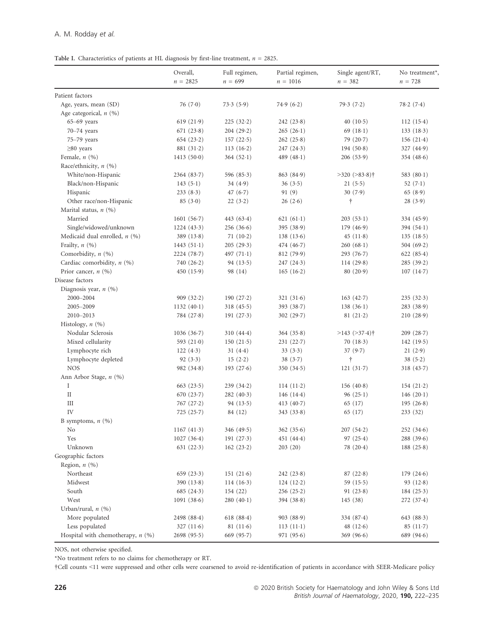|  | Table I. Characteristics of patients at HL diagnosis by first-line treatment, $n = 2825$ . |  |  |  |  |
|--|--------------------------------------------------------------------------------------------|--|--|--|--|
|--|--------------------------------------------------------------------------------------------|--|--|--|--|

|                                     | Overall,       | Full regimen, | Partial regimen, | Single agent/RT,              | No treatment <sup>*</sup> , |
|-------------------------------------|----------------|---------------|------------------|-------------------------------|-----------------------------|
|                                     | $n = 2825$     | $n = 699$     | $n = 1016$       | $n = 382$                     | $n = 728$                   |
| Patient factors                     |                |               |                  |                               |                             |
| Age, years, mean (SD)               | 76(7.0)        | 73.3(5.9)     | 74.9(6.2)        | 79.3(7.2)                     | 78.2(7.4)                   |
| Age categorical, $n$ (%)            |                |               |                  |                               |                             |
| $65-69$ years                       | 619 $(21.9)$   | 225(32.2)     | 242(23.8)        | 40 $(10.5)$                   | 112(15.4)                   |
| 70-74 years                         | 671 $(23.8)$   | 204(29.2)     | 265(26.1)        | 69 $(18.1)$                   | 133(18.3)                   |
| 75-79 years                         | 654 $(23.2)$   | 157(22.5)     | 262(25.8)        | 79 $(20.7)$                   | 156(21.4)                   |
| $\geq 80$ years                     | 881(31.2)      | 113(16.2)     | 247(24.3)        | 194(50.8)                     | 327(44.9)                   |
| Female, $n(%)$                      | 1413(50.0)     | 364(52.1)     | 489 $(48.1)$     | 206(53.9)                     | 354 $(48.6)$                |
| Race/ethnicity, n (%)               |                |               |                  |                               |                             |
| White/non-Hispanic                  | 2364(83.7)     | 596 $(85.3)$  | 863 (84.9)       | $>320$ $(>83.8)$ <sup>†</sup> | 583 $(80.1)$                |
| Black/non-Hispanic                  | 143(5.1)       | 34 $(4.9)$    | 36(3.5)          | 21(5.5)                       | 52 $(7.1)$                  |
| Hispanic                            | 233(8.3)       | 47 $(6.7)$    | 91(9)            | 30(7.9)                       | 65(8.9)                     |
| Other race/non-Hispanic             | 85(3.0)        | 22(3.2)       | 26(2.6)          | t                             | 28(3.9)                     |
| Marital status, $n$ (%)             |                |               |                  |                               |                             |
| Married                             | 1601(56.7)     | 443 $(63.4)$  | 621 $(61.1)$     | 203(53.1)                     | 334 (45.9)                  |
|                                     |                |               | 395 (38.9)       | 179(46.9)                     |                             |
| Single/widowed/unknown              | 1224(43.3)     | 256(36.6)     |                  |                               | 394(54.1)                   |
| Medicaid dual enrolled, $n$ (%)     | 389 $(13.8)$   | 71(10.2)      | 138(13.6)        | 45 $(11.8)$                   | 135(18.5)                   |
| Frailty, $n$ (%)                    | 1443(51.1)     | 205(29.3)     | 474(46.7)        | 260(68.1)                     | 504 $(69.2)$                |
| Comorbidity, $n$ (%)                | 2224 (78.7)    | 497 $(71.1)$  | 812 (79.9)       | 293(76.7)                     | 622 $(85.4)$                |
| Cardiac comorbidity, $n$ (%)        | 740 $(26.2)$   | 94(13.5)      | 247(24.3)        | 114(29.8)                     | 285(39.2)                   |
| Prior cancer, $n$ (%)               | 450 $(15.9)$   | 98 (14)       | 165(16.2)        | 80(20.9)                      | 107(14.7)                   |
| Disease factors                     |                |               |                  |                               |                             |
| Diagnosis year, $n$ (%)             |                |               |                  |                               |                             |
| 2000-2004                           | 909 $(32.2)$   | 190 $(27.2)$  | 321 $(31.6)$     | 163(42.7)                     | 235(32.3)                   |
| 2005-2009                           | 1132 $(40.1)$  | 318(45.5)     | 393 $(38.7)$     | 138(36.1)                     | 283 (38.9)                  |
| 2010-2013                           | 784(27.8)      | 191 $(27.3)$  | 302 (29.7)       | 81(21.2)                      | 210(28.9)                   |
| Histology, $n$ (%)                  |                |               |                  |                               |                             |
| Nodular Sclerosis                   | 1036(36.7)     | 310(44.4)     | 364(35.8)        | $>143$ ( $>37.4$ )†           | 209(28.7)                   |
| Mixed cellularity                   | 593 $(21.0)$   | 150(21.5)     | 231(22.7)        | 70(18.3)                      | 142 (19.5)                  |
| Lymphocyte rich                     | 122(4.3)       | 31(4.4)       | 33(3.3)          | 37(9.7)                       | 21(2.9)                     |
| Lymphocyte depleted                 | 92(3.3)        | 15(2.2)       | 38(3.7)          | Ť                             | 38(5.2)                     |
| <b>NOS</b>                          | 982 $(34.8)$   | 193 $(27.6)$  | 350 $(34.5)$     | 121(31.7)                     | 318(43.7)                   |
| Ann Arbor Stage, n (%)              |                |               |                  |                               |                             |
| Ι                                   | $663$ $(23.5)$ | 239(34.2)     | 114(11.2)        | 156(40.8)                     | 154(21.2)                   |
| $\rm II$                            | 670(23.7)      | 282(40.3)     | 146 $(14.4)$     | 96(25.1)                      | 146 $(20.1)$                |
| Ш                                   | 767(27.2)      | 94(13.5)      | 413 $(40.7)$     | 65 (17)                       | 195(26.8)                   |
| IV                                  | 725(25.7)      | 84 (12)       | 343(33.8)        | 65 (17)                       | 233(32)                     |
| B symptoms, $n$ (%)                 |                |               |                  |                               |                             |
| No                                  | 1167 $(41.3)$  | 346 $(49.5)$  | 362(35.6)        | 207(54.2)                     | 252(34.6)                   |
| Yes                                 | 1027(36.4)     | 191 $(27.3)$  | 451 $(44.4)$     | 97(25.4)                      | 288(39.6)                   |
| Unknown                             | 631 $(22.3)$   | 162(23.2)     | 203(20)          | 78 (20.4)                     | 188(25.8)                   |
| Geographic factors                  |                |               |                  |                               |                             |
| Region, $n$ (%)                     |                |               |                  |                               |                             |
| Northeast                           | 659 $(23.3)$   | 151 $(21.6)$  | 242(23.8)        | 87(22.8)                      | 179(24.6)                   |
| Midwest                             | 390 $(13.8)$   | $114(16-3)$   | 124(12.2)        | 59 $(15.5)$                   | 93 $(12.8)$                 |
| South                               | 685 $(24.3)$   | 154 (22)      | 256(25.2)        | 91 $(23.8)$                   | 184(25.3)                   |
| West                                | 1091(38.6)     | 280(40.1)     | 394 (38.8)       | 145 (38)                      | 272(37.4)                   |
| Urban/rural, $n$ (%)                |                |               |                  |                               |                             |
| More populated                      | 2498 (88.4)    | 618(88.4)     | 903 (88.9)       | 334(87.4)                     | 643(88.3)                   |
| Less populated                      | 327 $(11.6)$   | 81(11.6)      | $113(11-1)$      | 48 $(12.6)$                   | 85(11.7)                    |
| Hospital with chemotherapy, $n$ (%) | 2698(95.5)     | 669 $(95.7)$  | 971(95.6)        | 369 $(96.6)$                  | 689 (94.6)                  |

NOS, not otherwise specified.

\*No treatment refers to no claims for chemotherapy or RT.

†Cell counts <11 were suppressed and other cells were coarsened to avoid re-identification of patients in accordance with SEER-Medicare policy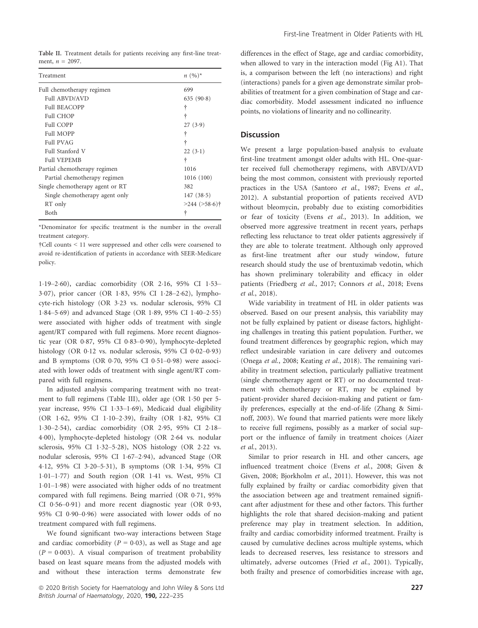|  | Table II. Treatment details for patients receiving any first-line treat- |  |  |  |  |
|--|--------------------------------------------------------------------------|--|--|--|--|
|  | ment, $n = 2097$ .                                                       |  |  |  |  |

| Treatment                       | $n (96)^*$          |
|---------------------------------|---------------------|
| Full chemotherapy regimen       | 699                 |
| <b>Full ABVD/AVD</b>            | 635(90.8)           |
| <b>Full BEACOPP</b>             | ÷                   |
| <b>Full CHOP</b>                | ÷                   |
| <b>Full COPP</b>                | 27(3.9)             |
| Full MOPP                       | ÷                   |
| <b>Full PVAG</b>                | ÷                   |
| Full Stanford V                 | $22(3-1)$           |
| <b>Full VEPEMB</b>              | ÷                   |
| Partial chemotherapy regimen    | 1016                |
| Partial chemotherapy regimen    | 1016 (100)          |
| Single chemotherapy agent or RT | 382                 |
| Single chemotherapy agent only  | 147(38.5)           |
| RT only                         | $>244$ ( $>58.6$ )† |
| Both                            | ÷                   |

\*Denominator for specific treatment is the number in the overall treatment category.

†Cell counts < 11 were suppressed and other cells were coarsened to avoid re-identification of patients in accordance with SEER-Medicare policy.

119–260), cardiac comorbidity (OR 216, 95% CI 153– 3.07), prior cancer (OR 1.83, 95% CI 1.28-2.62), lymphocyte-rich histology (OR 323 vs. nodular sclerosis, 95% CI 184–569) and advanced Stage (OR 189, 95% CI 140–255) were associated with higher odds of treatment with single agent/RT compared with full regimens. More recent diagnostic year (OR 0.87, 95% CI 0.83-0.90), lymphocyte-depleted histology (OR  $0.12$  vs. nodular sclerosis, 95% CI  $0.02-0.93$ ) and B symptoms (OR 0.70, 95% CI 0.51-0.98) were associated with lower odds of treatment with single agent/RT compared with full regimens.

In adjusted analysis comparing treatment with no treatment to full regimens (Table III), older age (OR 1.50 per 5year increase, 95% CI 1·33-1·69), Medicaid dual eligibility (OR 162, 95% CI 110–239), frailty (OR 182, 95% CI 130–254), cardiac comorbidity (OR 295, 95% CI 218– 400), lymphocyte-depleted histology (OR 264 vs. nodular sclerosis, 95% CI 132–528), NOS histology (OR 222 vs. nodular sclerosis, 95% CI 1.67-2.94), advanced Stage (OR 412, 95% CI 320–531), B symptoms (OR 134, 95% CI 101–177) and South region (OR 141 vs. West, 95% CI 101–198) were associated with higher odds of no treatment compared with full regimens. Being married (OR 0.71, 95% CI 0.56–0.91) and more recent diagnostic year (OR 0.93, 95% CI 090–096) were associated with lower odds of no treatment compared with full regimens.

We found significant two-way interactions between Stage and cardiac comorbidity ( $P = 0.03$ ), as well as Stage and age  $(P = 0.003)$ . A visual comparison of treatment probability based on least square means from the adjusted models with and without these interaction terms demonstrate few differences in the effect of Stage, age and cardiac comorbidity, when allowed to vary in the interaction model (Fig A1). That is, a comparison between the left (no interactions) and right (interactions) panels for a given age demonstrate similar probabilities of treatment for a given combination of Stage and cardiac comorbidity. Model assessment indicated no influence points, no violations of linearity and no collinearity.

# **Discussion**

We present a large population-based analysis to evaluate first-line treatment amongst older adults with HL. One-quarter received full chemotherapy regimens, with ABVD/AVD being the most common, consistent with previously reported practices in the USA (Santoro et al., 1987; Evens et al., 2012). A substantial proportion of patients received AVD without bleomycin, probably due to existing comorbidities or fear of toxicity (Evens et al., 2013). In addition, we observed more aggressive treatment in recent years, perhaps reflecting less reluctance to treat older patients aggressively if they are able to tolerate treatment. Although only approved as first-line treatment after our study window, future research should study the use of brentuximab vedotin, which has shown preliminary tolerability and efficacy in older patients (Friedberg et al., 2017; Connors et al., 2018; Evens et al., 2018).

Wide variability in treatment of HL in older patients was observed. Based on our present analysis, this variability may not be fully explained by patient or disease factors, highlighting challenges in treating this patient population. Further, we found treatment differences by geographic region, which may reflect undesirable variation in care delivery and outcomes (Onega et al., 2008; Keating et al., 2018). The remaining variability in treatment selection, particularly palliative treatment (single chemotherapy agent or RT) or no documented treatment with chemotherapy or RT, may be explained by patient-provider shared decision-making and patient or family preferences, especially at the end-of-life (Zhang & Siminoff, 2003). We found that married patients were more likely to receive full regimens, possibly as a marker of social support or the influence of family in treatment choices (Aizer et al., 2013).

Similar to prior research in HL and other cancers, age influenced treatment choice (Evens et al., 2008; Given & Given, 2008; Bjorkholm et al., 2011). However, this was not fully explained by frailty or cardiac comorbidity given that the association between age and treatment remained significant after adjustment for these and other factors. This further highlights the role that shared decision-making and patient preference may play in treatment selection. In addition, frailty and cardiac comorbidity informed treatment. Frailty is caused by cumulative declines across multiple systems, which leads to decreased reserves, less resistance to stressors and ultimately, adverse outcomes (Fried et al., 2001). Typically, both frailty and presence of comorbidities increase with age,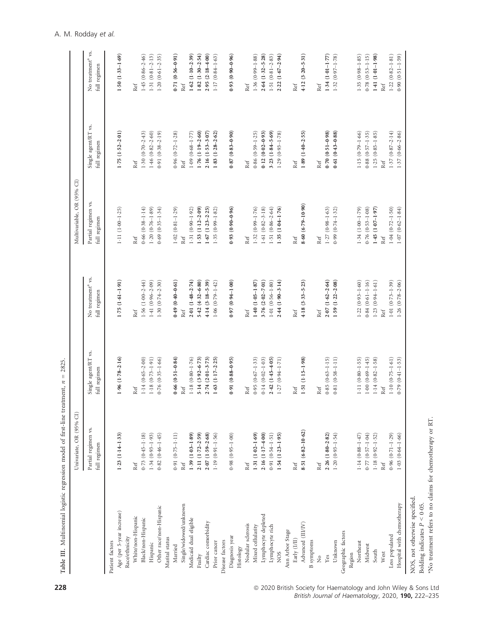|                                                           | Univariate, OR (95% CI)             |                                     |                                               | Multivariable, OR (95% CI)         |                                     |                                               |
|-----------------------------------------------------------|-------------------------------------|-------------------------------------|-----------------------------------------------|------------------------------------|-------------------------------------|-----------------------------------------------|
|                                                           | Partial regimen vs.<br>full regimen | Single agent/RT vs.<br>full regimen | No treatment <sup>a</sup> vs.<br>full regimen | Partial regimen vs<br>full regimen | Single agent/RT vs.<br>full regimen | No treatment <sup>a</sup> vs.<br>full regimen |
| Patient factors                                           |                                     |                                     |                                               |                                    |                                     |                                               |
| Age (per 5-year increase)                                 | $1.23(1.14-1.33)$                   | $1.96(1.78-2.16)$                   | $1.75(1.61-1.91)$                             | $1-11(1-00-1-25)$                  | $1.75(1.52 - 2.01)$                 | $1.50(1.33 - 1.69)$                           |
| White/non-Hispanic<br>Race/ethnicity                      | Ref                                 | Ref                                 | Ref                                           | Ref                                | Ref                                 | Ref                                           |
| Black/non-Hispanic                                        | $0.73(0.45-1.18)$                   | $1.14(0.65 - 2.00)$                 | $1.56(1.00-2.44)$                             | $0.66(0.38 - 1.14)$                | $1.30(0.70-2.43)$                   | $1.45(0.86 - 2.46)$                           |
| Hispanic                                                  | $1.34(0.93 - 1.93)$                 | $1.18(0.73-1.91)$                   | 1.41 $(0.96 - 2.09)$                          | $1.20(0.76 - 1.89)$                | $1.46(0.82 - 2.60)$                 | $1.31(0.81 - 2.13)$                           |
| Other race/non-Hispanic                                   | $0.82(0.46 - 1.45)$                 | $0.76(0.35-1.66)$                   | $1.30(0.74 - 2.30)$                           | $0.69(0.35-1.34)$                  | $0.91(0.38 - 2.19)$                 | $1.20(0.61 - 2.35)$                           |
| Marital status                                            |                                     |                                     |                                               |                                    |                                     |                                               |
| Married                                                   | $0.91(0.75 - 1.11)$                 | $0.66(0.51 - 0.84)$                 | $0.49(0.40-0.61)$                             | $1.02(0.81 - 1.29)$                | $0.96$ $(0.72 - 1.28)$              | $(16.0 - 95.0)$ 17.0                          |
| Single/widowed/unknown                                    | Ref                                 | Ref                                 | Ref                                           | Ref                                | Ref                                 | Ref                                           |
| Medicaid dual eligible                                    | $1.39(1.03 - 1.89)$                 | $1.18(0.80 - 1.76)$                 | $2.01(1.48 - 2.74)$                           | $1.31(0.90-1.92)$                  | $1.09(0.68 - 1.77)$                 | $(1.10 - 2.39)$<br>1.62                       |
| Frailty                                                   | 2.11 (1.72-2.59)                    | $5.14(3.92 - 6.73)$                 | $5.42(4.32 - 6.80)$                           | $1-53$ $(1-12-2.09)$               | $1.76(1.19 - 2.60)$                 | $1.82(1.30-2.54)$                             |
| Cardiac comorbidity                                       | $2.07(1.59 - 2.68)$                 | $2.74(2.01 - 3.73)$                 | $4.14(3.18 - 5.39)$                           | $1.67(1.23 - 2.25)$                | $2.16(1.53 - 3.07)$                 | $2.95(2.18 - 4.00)$                           |
| Prior cancer                                              | $1.19(0.91 - 1.56)$                 | $1.63$ $(1.17 - 2.25)$              | $1.06(0.79 - 1.42)$                           | $1.35(0.99 - 1.82)$                | $1.83(1.28 - 2.62)$                 | $1.17(0.84 - 1.63)$                           |
| Disease factors                                           |                                     |                                     |                                               |                                    |                                     |                                               |
| Diagnosis year                                            | $(0.1 - 56.0)$ 86.0                 | $(6.0 - 88)(0.95)$                  | $(0.0 - 1.46(0) 26(0)$                        | $(96.0 - 06.0)$ 6.                 | $0.87(0.83 - 0.90)$                 | $(96.0 - 06.0)$ 6.                            |
| Histology                                                 |                                     |                                     |                                               |                                    |                                     |                                               |
| Nodular sclerosis                                         | Ref                                 | Ref                                 | Ref                                           | Ref                                | Ref                                 | Ref                                           |
| Mixed cellularity                                         | $1.31(1.02-1.69)$                   | $0.95(0.67-1.33)$                   | $1.40(1.05-1.87)$                             | $1.32(0.99 - 1.76)$                | $0.86(0.59-1.25)$                   | $1.36(0.99 - 1.88)$                           |
| Lymphocyte depleted                                       | $2.16(1.17 - 4.00)$                 | $0.14(0.02 - 1.03)$                 | $3-76$ $(2.02-7.01)$                          | $1.61(0.82 - 3.18)$                | $0.12(0.02 - 0.93)$                 | $2.64(1.32 - 5.28)$                           |
| Lymphocyte rich                                           | $0.91(0.54 - 1.51)$                 | $2.42(1.45-4.05)$                   | $1.01(0.56 - 1.80)$                           | $1-51(0-86-2.64)$                  | $3.23(1.84 - 5.69)$                 | $1.51(0.81 - 2.83)$                           |
| NO <sub>S</sub>                                           | $1.54(1.23 - 1.95)$                 | $1.27(0.94 - 1.71)$                 | $2.44(1.90 - 3.14)$                           | $1.35(1.04 - 1.76)$                | $1.29(0.93 - 1.78)$                 | $2.22(1.67 - 2.94)$                           |
| Ann Arbor Stage                                           |                                     |                                     |                                               |                                    |                                     |                                               |
| Early (I/II)                                              | Ref                                 | Ref                                 | Ref                                           | Ref                                | Ref                                 | Ref                                           |
| Advanced (III/IV)                                         | $8-51(6-82-10-62)$                  | $1.51(1.15-1.98)$                   | $4.18(3.33 - 5.23)$                           | $8.60(6.79 - 10.90)$               | $1.89(1.40-2.55)$                   | $4.12(3.20 - 5.31)$                           |
| <b>B</b> symptoms                                         |                                     |                                     |                                               |                                    |                                     |                                               |
| $\frac{1}{2}$                                             | Ref                                 | Ref                                 | Ref                                           | Ref                                | Ref                                 | Ref                                           |
| Yes                                                       | $2.26(1.80 - 2.82)$                 | $0.85(0.63 - 1.15)$                 | $2.07(1.62 - 2.64)$                           | $1.27(0.98-1.63)$                  | $0.70(0.51 - 0.98)$                 | $1.34(1.01-1.77)$                             |
| Unknown                                                   | $1.20(0.93 - 1.54)$                 | $0.81(0.58 - 1.11)$                 | $1-59$ $(1.22-2.08)$                          | $0.99(0.74 - 1.32)$                | $0.61(0.43 - 0.88)$                 | $1.32(0.97 - 1.78)$                           |
| Geographic factors                                        |                                     |                                     |                                               |                                    |                                     |                                               |
| Region                                                    |                                     |                                     |                                               |                                    |                                     |                                               |
| Northeast                                                 | $1.14(0.88 - 1.47)$                 | $1.11(0.80 - 1.55)$                 | $1.22(0.93 - 1.60)$                           | $1.34(1.00-1.79)$                  | $1.15(0.79 - 1.66)$                 | $1.35(0.98-1.85)$                             |
| Midwest                                                   | $0.77(0.57-1.04)$                   | $1.00(0.69 - 1.45)$                 | $0.84(0.61 - 1.16)$                           | $0.76(0.53 - 1.08)$                | $0.88(0.57-1.35)$                   | $0.78(0.53 - 1.15)$                           |
| South                                                     | $1.18$ (0.92-1.52)                  | $1.14(0.82 - 1.58)$                 | $1.23(0.94-1.61)$                             | $1.45(1.07-1.97)$                  | $1-25$ $(0-85-1-85)$                | $1.41(1.01-1.98)$                             |
| West                                                      | Ref                                 | Ref                                 | Ref                                           | Ref                                | Ref                                 | Ref                                           |
| Less populated                                            | $0.96(0.71 - 1.29)$                 | $1.10(0.75 - 1.61)$                 | $1.01(0.73-1.39)$                             | $1.04(0.72 - 1.50)$                | $1.37(0.87 - 2.14)$                 | $1.22(0.82 - 1.81)$                           |
| Hospital with chemotherapy                                | $1.03$ $(0.64 - 1.66)$              | $0.79(0.41 - 1.53)$                 | $1.26(0.78 - 2.06)$                           | $1.07(0.62 - 1.84)$                | $1.37(0.66 - 2.86)$                 | $0.90(0.51 - 1.59)$                           |
| NOS, not otherwise specified.                             |                                     |                                     |                                               |                                    |                                     |                                               |
| Bolding indicates $P < 0.05$ .                            |                                     |                                     |                                               |                                    |                                     |                                               |
| *No treatment refers to no claims for chemotherapy or RT. |                                     |                                     |                                               |                                    |                                     |                                               |
|                                                           |                                     |                                     |                                               |                                    |                                     |                                               |

Table III. Multinomial logistic regression model of first-line treatment,  $n = 2825$ . Table III. Multinomial logistic regression model of first-line treatment, n = 2825.

**228 228 1988 Table 19 and 2020 British Society for Haematology and John Wiley & Sons Ltd** British Journal of Haematology, 2020, 190, 222–235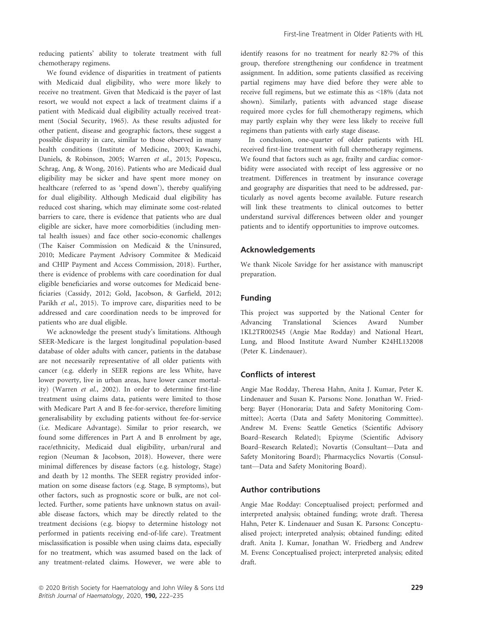reducing patients' ability to tolerate treatment with full chemotherapy regimens.

We found evidence of disparities in treatment of patients with Medicaid dual eligibility, who were more likely to receive no treatment. Given that Medicaid is the payer of last resort, we would not expect a lack of treatment claims if a patient with Medicaid dual eligibility actually received treatment (Social Security, 1965). As these results adjusted for other patient, disease and geographic factors, these suggest a possible disparity in care, similar to those observed in many health conditions (Institute of Medicine, 2003; Kawachi, Daniels, & Robinson, 2005; Warren et al., 2015; Popescu, Schrag, Ang, & Wong, 2016). Patients who are Medicaid dual eligibility may be sicker and have spent more money on healthcare (referred to as 'spend down'), thereby qualifying for dual eligibility. Although Medicaid dual eligibility has reduced cost sharing, which may eliminate some cost-related barriers to care, there is evidence that patients who are dual eligible are sicker, have more comorbidities (including mental health issues) and face other socio-economic challenges (The Kaiser Commission on Medicaid & the Uninsured, 2010; Medicare Payment Advisory Commitee & Medicaid and CHIP Payment and Access Commission, 2018). Further, there is evidence of problems with care coordination for dual eligible beneficiaries and worse outcomes for Medicaid beneficiaries (Cassidy, 2012; Gold, Jacobson, & Garfield, 2012; Parikh et al., 2015). To improve care, disparities need to be addressed and care coordination needs to be improved for patients who are dual eligible.

We acknowledge the present study's limitations. Although SEER-Medicare is the largest longitudinal population-based database of older adults with cancer, patients in the database are not necessarily representative of all older patients with cancer (e.g. elderly in SEER regions are less White, have lower poverty, live in urban areas, have lower cancer mortality) (Warren et al., 2002). In order to determine first-line treatment using claims data, patients were limited to those with Medicare Part A and B fee-for-service, therefore limiting generalisability by excluding patients without fee-for-service (i.e. Medicare Advantage). Similar to prior research, we found some differences in Part A and B enrolment by age, race/ethnicity, Medicaid dual eligibility, urban/rural and region (Neuman & Jacobson, 2018). However, there were minimal differences by disease factors (e.g. histology, Stage) and death by 12 months. The SEER registry provided information on some disease factors (e.g. Stage, B symptoms), but other factors, such as prognostic score or bulk, are not collected. Further, some patients have unknown status on available disease factors, which may be directly related to the treatment decisions (e.g. biopsy to determine histology not performed in patients receiving end-of-life care). Treatment misclassification is possible when using claims data, especially for no treatment, which was assumed based on the lack of any treatment-related claims. However, we were able to

identify reasons for no treatment for nearly 827% of this group, therefore strengthening our confidence in treatment assignment. In addition, some patients classified as receiving partial regimens may have died before they were able to receive full regimens, but we estimate this as <18% (data not shown). Similarly, patients with advanced stage disease required more cycles for full chemotherapy regimens, which may partly explain why they were less likely to receive full regimens than patients with early stage disease.

In conclusion, one-quarter of older patients with HL received first-line treatment with full chemotherapy regimens. We found that factors such as age, frailty and cardiac comorbidity were associated with receipt of less aggressive or no treatment. Differences in treatment by insurance coverage and geography are disparities that need to be addressed, particularly as novel agents become available. Future research will link these treatments to clinical outcomes to better understand survival differences between older and younger patients and to identify opportunities to improve outcomes.

# Acknowledgements

We thank Nicole Savidge for her assistance with manuscript preparation.

# Funding

This project was supported by the National Center for Advancing Translational Sciences Award Number 1KL2TR002545 (Angie Mae Rodday) and National Heart, Lung, and Blood Institute Award Number K24HL132008 (Peter K. Lindenauer).

# Conflicts of interest

Angie Mae Rodday, Theresa Hahn, Anita J. Kumar, Peter K. Lindenauer and Susan K. Parsons: None. Jonathan W. Friedberg: Bayer (Honoraria; Data and Safety Monitoring Committee); Acerta (Data and Safety Monitoring Committee). Andrew M. Evens: Seattle Genetics (Scientific Advisory Board–Research Related); Epizyme (Scientific Advisory Board–Research Related); Novartis (Consultant—Data and Safety Monitoring Board); Pharmacyclics Novartis (Consultant—Data and Safety Monitoring Board).

# Author contributions

Angie Mae Rodday: Conceptualised project; performed and interpreted analysis; obtained funding; wrote draft. Theresa Hahn, Peter K. Lindenauer and Susan K. Parsons: Conceptualised project; interpreted analysis; obtained funding; edited draft. Anita J. Kumar, Jonathan W. Friedberg and Andrew M. Evens: Conceptualised project; interpreted analysis; edited draft.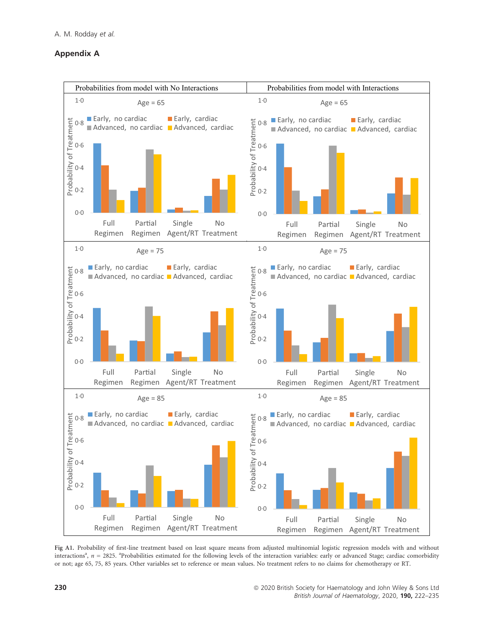# Appendix A



Fig A1. Probability of first-line treatment based on least square means from adjusted multinomial logistic regression models with and without interactions<sup>a</sup>,  $n = 2825$ . <sup>a</sup>Probabilities estimated for the following levels of the interaction variables: early or advanced Stage; cardiac comorbidity or not; age 65, 75, 85 years. Other variables set to reference or mean values. No treatment refers to no claims for chemotherapy or RT.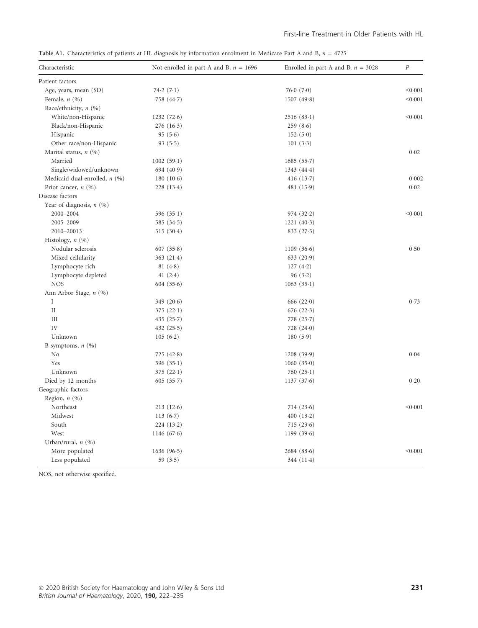|  |  |  |  |  | Table A1. Characteristics of patients at HL diagnosis by information enrolment in Medicare Part A and B, $n = 4725$ |
|--|--|--|--|--|---------------------------------------------------------------------------------------------------------------------|
|--|--|--|--|--|---------------------------------------------------------------------------------------------------------------------|

| Characteristic                  | Not enrolled in part A and B, $n = 1696$ | Enrolled in part A and B, $n = 3028$ | $\cal P$ |
|---------------------------------|------------------------------------------|--------------------------------------|----------|
| Patient factors                 |                                          |                                      |          |
| Age, years, mean (SD)           | 74.2(7.1)                                | 76.0(7.0)                            | < 0.001  |
| Female, $n$ $(\%)$              | 758 (44.7)                               | 1507(49.8)                           | < 0.001  |
| Race/ethnicity, n (%)           |                                          |                                      |          |
| White/non-Hispanic              | 1232(72.6)                               | 2516(83.1)                           | < 0.001  |
| Black/non-Hispanic              | 276(16.3)                                | 259(8.6)                             |          |
| Hispanic                        | 95(5.6)                                  | 152(5.0)                             |          |
| Other race/non-Hispanic         | 93(5.5)                                  | 101(3.3)                             |          |
| Marital status, $n$ (%)         |                                          |                                      | 0.02     |
| Married                         | 1002(59.1)                               | 1685(55.7)                           |          |
| Single/widowed/unknown          | 694(40.9)                                | 1343(44.4)                           |          |
| Medicaid dual enrolled, $n$ (%) | 180 $(10.6)$                             | 416 $(13.7)$                         | 0.002    |
| Prior cancer, $n(%)$            | 228(13.4)                                | 481 $(15.9)$                         | 0.02     |
| Disease factors                 |                                          |                                      |          |
| Year of diagnosis, $n$ (%)      |                                          |                                      |          |
| 2000-2004                       | 596 $(35.1)$                             | 974(32.2)                            | < 0.001  |
| 2005-2009                       | 585 $(34.5)$                             | 1221(40.3)                           |          |
| 2010-20013                      | 515(30.4)                                | 833(27.5)                            |          |
| Histology, $n$ $(\%)$           |                                          |                                      |          |
| Nodular sclerosis               | 607(35.8)                                | 1109(36.6)                           | 0.50     |
| Mixed cellularity               | 363(21.4)                                | 633(20.9)                            |          |
| Lymphocyte rich                 | 81(4.8)                                  | 127(4.2)                             |          |
| Lymphocyte depleted             | 41 $(2.4)$                               | 96(3.2)                              |          |
| <b>NOS</b>                      | 604(35.6)                                | 1063(35.1)                           |          |
| Ann Arbor Stage, n (%)          |                                          |                                      |          |
| Ι                               | 349 $(20.6)$                             | 666 $(22.0)$                         | 0.73     |
| $\rm II$                        | 375 $(22.1)$                             | 676(22.3)                            |          |
| III                             | 435(25.7)                                | 778(25.7)                            |          |
| IV                              | 432 $(25.5)$                             | 728 (24.0)                           |          |
| Unknown                         | 105(6.2)                                 | 180(5.9)                             |          |
| B symptoms, $n$ (%)             |                                          |                                      |          |
| No                              | 725 $(42.8)$                             | 1208(39.9)                           | 0.04     |
| Yes                             | 596 $(35.1)$                             | 1060(35.0)                           |          |
| Unknown                         | 375 $(22.1)$                             | 760 $(25.1)$                         |          |
| Died by 12 months               | 605(35.7)                                | 1137(37.6)                           | 0.20     |
| Geographic factors              |                                          |                                      |          |
| Region, $n$ $(\%)$              |                                          |                                      |          |
| Northeast                       | 213(12.6)                                | 714(23.6)                            | < 0.001  |
| Midwest                         | 113(6.7)                                 | 400(13.2)                            |          |
| South                           | 224(13.2)                                | 715(23.6)                            |          |
| West                            | 1146 $(67.6)$                            | 1199 (39.6)                          |          |
| Urban/rural, $n$ (%)            |                                          |                                      |          |
| More populated                  | 1636(96.5)                               | 2684(88.6)                           | < 0.001  |
| Less populated                  | 59(3.5)                                  | 344 $(11.4)$                         |          |

NOS, not otherwise specified.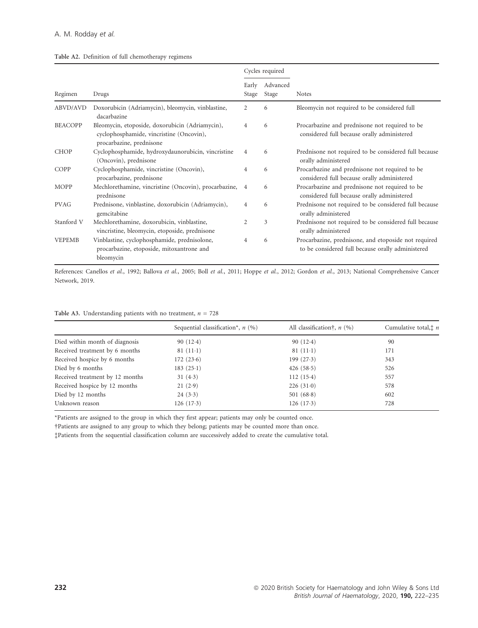| Table A2. Definition of full chemotherapy regimens |  |  |  |  |  |
|----------------------------------------------------|--|--|--|--|--|
|----------------------------------------------------|--|--|--|--|--|

|                |                                                                                                                         |                | Cycles required   |                                                                                                           |
|----------------|-------------------------------------------------------------------------------------------------------------------------|----------------|-------------------|-----------------------------------------------------------------------------------------------------------|
| Regimen        | Drugs                                                                                                                   | Early<br>Stage | Advanced<br>Stage | <b>Notes</b>                                                                                              |
| ABVD/AVD       | Doxorubicin (Adriamycin), bleomycin, vinblastine,<br>dacarbazine                                                        | 2              | 6                 | Bleomycin not required to be considered full                                                              |
| <b>BEACOPP</b> | Bleomycin, etoposide, doxorubicin (Adriamycin),<br>cyclophosphamide, vincristine (Oncovin),<br>procarbazine, prednisone | 4              | 6                 | Procarbazine and prednisone not required to be<br>considered full because orally administered             |
| <b>CHOP</b>    | Cyclophosphamide, hydroxydaunorubicin, vincristine<br>(Oncovin), prednisone                                             | 4              | 6                 | Prednisone not required to be considered full because<br>orally administered                              |
| COPP           | Cyclophosphamide, vincristine (Oncovin),<br>procarbazine, prednisone                                                    | 4              | 6                 | Procarbazine and prednisone not required to be<br>considered full because orally administered             |
| MOPP           | Mechlorethamine, vincristine (Oncovin), procarbazine, 4<br>prednisone                                                   |                | 6                 | Procarbazine and prednisone not required to be<br>considered full because orally administered             |
| <b>PVAG</b>    | Prednisone, vinblastine, doxorubicin (Adriamycin),<br>gemcitabine                                                       | 4              | 6                 | Prednisone not required to be considered full because<br>orally administered                              |
| Stanford V     | Mechlorethamine, doxorubicin, vinblastine,<br>vincristine, bleomycin, etoposide, prednisone                             | 2              | 3                 | Prednisone not required to be considered full because<br>orally administered                              |
| <b>VEPEMB</b>  | Vinblastine, cyclophosphamide, prednisolone,<br>procarbazine, etoposide, mitoxantrone and<br>bleomycin                  | $\overline{4}$ | 6                 | Procarbazine, prednisone, and etoposide not required<br>to be considered full because orally administered |

References: Canellos et al., 1992; Ballova et al., 2005; Boll et al., 2011; Hoppe et al., 2012; Gordon et al., 2013; National Comprehensive Cancer Network, 2019.

|                                 | Sequential classification*, $n$ (%) | All classification <sup>†</sup> , $n$ (%) | Cumulative total, $\ddagger$ n |
|---------------------------------|-------------------------------------|-------------------------------------------|--------------------------------|
| Died within month of diagnosis  | 90(12.4)                            | 90(12.4)                                  | 90                             |
| Received treatment by 6 months  | $81(11-1)$                          | $81(11-1)$                                | 171                            |
| Received hospice by 6 months    | 172(23.6)                           | 199(27.3)                                 | 343                            |
| Died by 6 months                | 183(25.1)                           | 426(58.5)                                 | 526                            |
| Received treatment by 12 months | 31(4.3)                             | 112(15.4)                                 | 557                            |
| Received hospice by 12 months   | 21(2.9)                             | 226(31.0)                                 | 578                            |
| Died by 12 months               | 24(3.3)                             | 501 $(68.8)$                              | 602                            |
| Unknown reason                  | 126(17.3)                           | 126(17.3)                                 | 728                            |
|                                 |                                     |                                           |                                |

\*Patients are assigned to the group in which they first appear; patients may only be counted once.

†Patients are assigned to any group to which they belong; patients may be counted more than once.

‡Patients from the sequential classification column are successively added to create the cumulative total.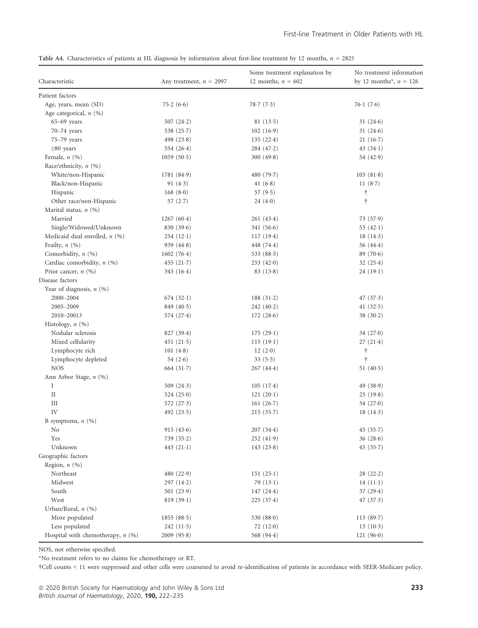|  | Table A4. Characteristics of patients at HL diagnosis by information about first-line treatment by 12 months, $n = 2825$ |  |  |  |  |  |  |  |  |  |
|--|--------------------------------------------------------------------------------------------------------------------------|--|--|--|--|--|--|--|--|--|
|--|--------------------------------------------------------------------------------------------------------------------------|--|--|--|--|--|--|--|--|--|

| Characteristic                      | Any treatment, $n = 2097$ | Some treatment explanation by<br>12 months, $n = 602$ | No treatment information<br>by 12 months <sup>*</sup> , $n = 126$ |
|-------------------------------------|---------------------------|-------------------------------------------------------|-------------------------------------------------------------------|
| Patient factors                     |                           |                                                       |                                                                   |
| Age, years, mean (SD)               | 75.2(6.6)                 | 78.7(7.3)                                             | 76.1(7.6)                                                         |
| Age categorical, $n$ (%)            |                           |                                                       |                                                                   |
| $65-69$ years                       | 507 $(24.2)$              | 81(13.5)                                              | 31(24.6)                                                          |
| $70 - 74$ years                     | 538 $(25.7)$              | 102(16.9)                                             | 31 $(24.6)$                                                       |
| 75-79 years                         | 498 $(23.8)$              | 135(22.4)                                             | $21(16-7)$                                                        |
| $\geq$ 80 years                     | 554 $(26.4)$              | 284(47.2)                                             | 43(34.1)                                                          |
| Female, $n(%)$                      | 1059(50.5)                | 300(49.8)                                             | 54 (42.9)                                                         |
| Race/ethnicity, $n$ (%)             |                           |                                                       |                                                                   |
| White/non-Hispanic                  | 1781(84.9)                | 480 $(79.7)$                                          | 103(81.8)                                                         |
| Black/non-Hispanic                  | 91 $(4.3)$                | 41 $(6.8)$                                            | 11 $(8.7)$                                                        |
| Hispanic                            | 168(8.0)                  | 57 $(9.5)$                                            | Ť                                                                 |
| Other race/non-Hispanic             | 57 $(2.7)$                | 24(4.0)                                               | $\dagger$                                                         |
| Marital status, $n$ (%)             |                           |                                                       |                                                                   |
| Married                             | 1267(60.4)                | 261(43.4)                                             | 73(57.9)                                                          |
| Single/Widowed/Unknown              | 830(39.6)                 | 341 $(56.6)$                                          | 53 $(42.1)$                                                       |
| Medicaid dual enrolled, $n$ (%)     | $254(12-1)$               | 117(19.4)                                             | 18(14.3)                                                          |
| Frailty, $n$ (%)                    | 939 $(44.8)$              | 448 $(74.4)$                                          | 56(44.4)                                                          |
| Comorbidity, n (%)                  | 1602(76.4)                | 533 $(88.5)$                                          | 89(70.6)                                                          |
| Cardiac comorbidity, $n$ (%)        | 455(21.7)                 | 253(42.0)                                             | 32(25.4)                                                          |
| Prior cancer, $n$ (%)               | 343(16.4)                 | 83(13.8)                                              | 24(19.1)                                                          |
| Disease factors                     |                           |                                                       |                                                                   |
| Year of diagnosis, $n$ (%)          |                           |                                                       |                                                                   |
| $2000 - 2004$                       | 674(32.1)                 | 188(31.2)                                             | 47 $(37.3)$                                                       |
| 2005-2009                           | 849(40.5)                 | 242(40.2)                                             | 41 $(32.5)$                                                       |
| 2010-20013                          | 574(27.4)                 | 172(28.6)                                             | 38(30.2)                                                          |
| Histology, $n$ (%)                  |                           |                                                       |                                                                   |
| Nodular sclerosis                   | 827(39.4)                 | 175(29.1)                                             | 34 $(27.0)$                                                       |
| Mixed cellularity                   | 451(21.5)                 | 115(19.1)                                             | 27(21.4)                                                          |
| Lymphocyte rich                     | 101(4.8)                  | 12(2.0)                                               | $\dagger$                                                         |
| Lymphocyte depleted                 | 54 $(2.6)$                | 33(5.5)                                               | $\dagger$                                                         |
| <b>NOS</b>                          | 664(31.7)                 | 267(44.4)                                             | 51 $(40.5)$                                                       |
| Ann Arbor Stage, n (%)              |                           |                                                       |                                                                   |
| Ι                                   | 509 $(24.3)$              | 105(17.4)                                             | 49 (38.9)                                                         |
| $\rm II$                            | 524(25.0)                 | $121(20-1)$                                           | 25(19.8)                                                          |
| Ш                                   | 572 $(27.3)$              | 161 $(26.7)$                                          | 34(27.0)                                                          |
| IV                                  | 492 $(23.5)$              | 215(35.7)                                             | $18(14-3)$                                                        |
| B symptoms, $n$ (%)                 |                           |                                                       |                                                                   |
| No                                  | 915(43.6)                 | 207(34.4)                                             | 45 $(35.7)$                                                       |
| Yes                                 | 739(35.2)                 | 252 (41.9)                                            | 36(28.6)                                                          |
| Unknown                             | 443 $(21-1)$              | 143(23.8)                                             | 45 $(35.7)$                                                       |
| Geographic factors                  |                           |                                                       |                                                                   |
| Region, $n$ (%)                     |                           |                                                       |                                                                   |
| Northeast                           | 480 $(22.9)$              | 151(25.1)                                             | 28(22.2)                                                          |
| Midwest                             | 297(14.2)                 | 79 $(13.1)$                                           | $14(11-1)$                                                        |
| South                               | 501 $(23.9)$              | 147(24.4)                                             | 37(29.4)                                                          |
| West                                | 819(39.1)                 | 225(37.4)                                             | 47(37.3)                                                          |
| Urban/Rural, $n$ (%)                |                           |                                                       |                                                                   |
| More populated                      | 1855(88.5)                | 530 (88.0)                                            | 113(89.7)                                                         |
| Less populated                      | 242(11.5)                 | 72 $(12.0)$                                           | 13(10.3)                                                          |
| Hospital with chemotherapy, $n$ (%) | 2009(95.8)                | 568 (94.4)                                            | 121(96.0)                                                         |

NOS, not otherwise specified.

\*No treatment refers to no claims for chemotherapy or RT.

†Cell counts < 11 were suppressed and other cells were coarsened to avoid re-identification of patients in accordance with SEER-Medicare policy.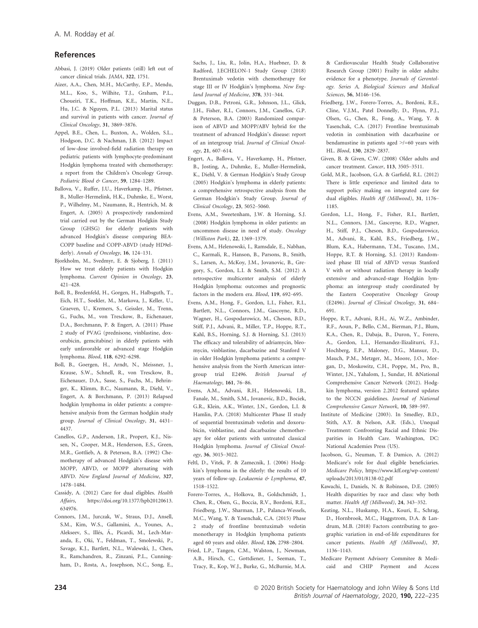# References

- Abbasi, J. (2019) Older patients (still) left out of cancer clinical trials. JAMA, 322, 1751.
- Aizer, A.A., Chen, M.H., McCarthy, E.P., Mendu, M.L., Koo, S., Wilhite, T.J., Graham, P.L., Choueiri, T.K., Hoffman, K.E., Martin, N.E., Hu, J.C. & Nguyen, P.L. (2013) Marital status and survival in patients with cancer. Journal of Clinical Oncology, 31, 3869–3876.
- Appel, B.E., Chen, L., Buxton, A., Wolden, S.L., Hodgson, D.C. & Nachman, J.B. (2012) Impact of low-dose involved-field radiation therapy on pediatric patients with lymphocyte-predominant Hodgkin lymphoma treated with chemotherapy: a report from the Children's Oncology Group. Pediatric Blood & Cancer, 59, 1284–1289.
- Ballova, V., Ruffer, J.U., Haverkamp, H., Pfistner, B., Muller-Hermelink, H.K., Duhmke, E., Worst, P., Wilhelmy, M., Naumann, R., Hentrich, M. & Engert, A. (2005) A prospectively randomized trial carried out by the German Hodgkin Study Group (GHSG) for elderly patients with advanced Hodgkin's disease comparing BEA-COPP baseline and COPP-ABVD (study HD9elderly). Annals of Oncology, 16, 124-131.
- Bjorkholm, M., Svedmyr, E. & Sjoberg, J. (2011) How we treat elderly patients with Hodgkin lymphoma. Current Opinion in Oncology, 23, 421–428.
- Boll, B., Bredenfeld, H., Gorgen, H., Halbsguth, T., Eich, H.T., Soekler, M., Markova, J., Keller, U., Graeven, U., Kremers, S., Geissler, M., Trenn, G., Fuchs, M., von Tresckow, B., Eichenauer, D.A., Borchmann, P. & Engert, A. (2011) Phase 2 study of PVAG (prednisone, vinblastine, doxorubicin, gemcitabine) in elderly patients with early unfavorable or advanced stage Hodgkin lymphoma. Blood, 118, 6292–6298.
- Boll, B., Goergen, H., Arndt, N., Meissner, J., Krause, S.W., Schnell, R., von Tresckow, B., Eichenauer, D.A., Sasse, S., Fuchs, M., Behringer, K., Klimm, B.C., Naumann, R., Diehl, V., Engert, A. & Borchmann, P. (2013) Relapsed hodgkin lymphoma in older patients: a comprehensive analysis from the German hodgkin study group. Journal of Clinical Oncology, 31, 4431– 4437.
- Canellos, G.P., Anderson, J.R., Propert, K.J., Nissen, N., Cooper, M.R., Henderson, E.S., Green, M.R., Gottlieb, A. & Peterson, B.A. (1992) Chemotherapy of advanced Hodgkin's disease with MOPP, ABVD, or MOPP alternating with ABVD. New England Journal of Medicine, 327, 1478–1484.
- Cassidy, A. (2012) Care for dual eligibles. Health Affairs, [https://doi.org/10.1377/hpb20120613.](https://doi.org/10.1377/hpb20120613.634976) [634976](https://doi.org/10.1377/hpb20120613.634976).
- Connors, J.M., Jurczak, W., Straus, D.J., Ansell, S.M., Kim, W.S., Gallamini, A., Younes, A., Alekseev, S., Illés, Á., Picardi, M., Lech-Maranda, E., Oki, Y., Feldman, T., Smolewski, P., Savage, K.J., Bartlett, N.L., Walewski, J., Chen, R., Ramchandren, R., Zinzani, P.L., Cunningham, D., Rosta, A., Josephson, N.C., Song, E.,

Sachs, J., Liu, R., Jolin, H.A., Huebner, D. & Radford, J.ECHELON-1 Study Group (2018) Brentuximab vedotin with chemotherapy for stage III or IV Hodgkin's lymphoma. New England Journal of Medicine, 378, 331–344.

- Duggan, D.B., Petroni, G.R., Johnson, J.L., Glick, J.H., Fisher, R.I., Connors, J.M., Canellos, G.P. & Peterson, B.A. (2003) Randomized comparison of ABVD and MOPP/ABV hybrid for the treatment of advanced Hodgkin's disease: report of an intergroup trial. Journal of Clinical Oncology, 21, 607–614.
- Engert, A., Ballova, V., Haverkamp, H., Pfistner, B., Josting, A., Duhmke, E., Muller-Hermelink, K., Diehl, V. & German Hodgkin's Study Group (2005) Hodgkin's lymphoma in elderly patients: a comprehensive retrospective analysis from the German Hodgkin's Study Group. Journal of Clinical Oncology, 23, 5052–5060.
- Evens, A.M., Sweetenham, J.W. & Horning, S.J. (2008) Hodgkin lymphoma in older patients: an uncommon disease in need of study. Oncology (Williston Park), 22, 1369–1379.
- Evens, A.M., Helenowski, I., Ramsdale, E., Nabhan, C., Karmali, R., Hanson, B., Parsons, B., Smith, S., Larsen, A., McKoy, J.M., Jovanovic, B., Gregory, S., Gordon, L.I. & Smith, S.M. (2012) A retrospective multicenter analysis of elderly Hodgkin lymphoma: outcomes and prognostic factors in the modern era. Blood, 119, 692–695.
- Evens, A.M., Hong, F., Gordon, L.I., Fisher, R.I., Bartlett, N.L., Connors, J.M., Gascoyne, R.D., Wagner, H., Gospodarowicz, M., Cheson, B.D., Stiff, P.J., Advani, R., Miller, T.P., Hoppe, R.T., Kahl, B.S., Horning, S.J. & Horning, S.J. (2013) The efficacy and tolerability of adriamycin, bleomycin, vinblastine, dacarbazine and Stanford V in older Hodgkin lymphoma patients: a comprehensive analysis from the North American intergroup trial E2496. British Journal of Haematology, 161, 76–86.
- Evens, A.M., Advani, R.H., Helenowski, I.B., Fanale, M., Smith, S.M., Jovanovic, B.D., Bociek, G.R., Klein, A.K., Winter, J.N., Gordon, L.I. & Hamlin, P.A. (2018) Multicenter Phase II study of sequential brentuximab vedotin and doxorubicin, vinblastine, and dacarbazine chemotherapy for older patients with untreated classical Hodgkin lymphoma. Journal of Clinical Oncology, 36, 3015–3022.
- Feltl, D., Vitek, P. & Zamecnik, J. (2006) Hodgkin's lymphoma in the elderly: the results of 10 years of follow-up. Leukaemia & Lymphoma, 47, 1518–1522.
- Forero-Torres, A., Holkova, B., Goldschmidt, J., Chen, R., Olsen, G., Boccia, R.V., Bordoni, R.E., Friedberg, J.W., Sharman, J.P., Palanca-Wessels, M.C., Wang, Y. & Yasenchak, C.A. (2015) Phase 2 study of frontline brentuximab vedotin monotherapy in Hodgkin lymphoma patients aged 60 years and older. Blood, 126, 2798–2804. Fried, L.P., Tangen, C.M., Walston, J., Newman,
- A.B., Hirsch, C., Gottdiener, J., Seeman, T., Tracy, R., Kop, W.J., Burke, G., McBurnie, M.A.

& Cardiovascular Health Study Collaborative Research Group (2001) Frailty in older adults: evidence for a phenotype. Journals of Gerontology. Series A, Biological Sciences and Medical Sciences, 56, M146–156.

- Friedberg, J.W., Forero-Torres, A., Bordoni, R.E., Cline, V.J.M., Patel Donnelly, D., Flynn, P.J., Olsen, G., Chen, R., Fong, A., Wang, Y. & Yasenchak, C.A. (2017) Frontline brentuximab vedotin in combination with dacarbazine or bendamustine in patients aged >/=60 years with HL. Blood, 130, 2829–2837.
- Given, B. & Given, C.W. (2008) Older adults and cancer treatment. Cancer, 113, 3505–3511.
- Gold, M.R., Jacobson, G.A. & Garfield, R.L. (2012) There is little experience and limited data to support policy making on integrated care for dual eligibles. Health Aff (Millwood), 31, 1176– 1185.
- Gordon, L.I., Hong, F., Fisher, R.I., Bartlett, N.L., Connors, J.M., Gascoyne, R.D., Wagner, H., Stiff, P.J., Cheson, B.D., Gospodarowicz, M., Advani, R., Kahl, B.S., Friedberg, J.W., Blum, K.A., Habermann, T.M., Tuscano, J.M., Hoppe, R.T. & Horning, S.J. (2013) Randomized phase III trial of ABVD versus Stanford V with or without radiation therapy in locally extensive and advanced-stage Hodgkin lymphoma: an intergroup study coordinated by the Eastern Cooperative Oncology Group (E2496). Journal of Clinical Oncology, 31, 684– 691.
- Hoppe, R.T., Advani, R.H., Ai, W.Z., Ambinder, R.F., Aoun, P., Bello, C.M., Bierman, P.J., Blum, K.A., Chen, R., Dabaja, B., Duron, Y., Forero, A., Gordon, L.I., Hernandez-Ilizaliturri, F.J., Hochberg, E.P., Maloney, D.G., Mansur, D., Mauch, P.M., Metzger, M., Moore, J.O., Morgan, D., Moskowitz, C.H., Poppe, M., Pro, B., Winter, J.N., Yahalom, J., Sundar, H. &National Comprehensive Cancer Network (2012). Hodgkin lymphoma, version 2.2012 featured updates to the NCCN guidelines. Journal of National Comprehensive Cancer Network, 10, 589–597.
- Institute of Medicine (2003). In Smedley, B.D., Stith, A.Y. & Nelson, A.R. (Eds.), Unequal Treatment: Confronting Racial and Ethnic Disparities in Health Care. Washington, DC: National Academies Press (US).
- Jacobson, G., Neuman, T. & Damico, A. (2012) Medicare's role for dual eligible beneficiaries. Medicare Policy, [https://www.kff.org/wp-content/](https://www.kff.org/wp-content/uploads/2013/01/8138-02.pdf) [uploads/2013/01/8138-02.pdf](https://www.kff.org/wp-content/uploads/2013/01/8138-02.pdf)
- Kawachi, I., Daniels, N. & Robinson, D.E. (2005) Health disparities by race and class: why both matter. Health Aff (Millwood), 24, 343–352.
- Keating, N.L., Huskamp, H.A., Kouri, E., Schrag, D., Hornbrook, M.C., Haggstrom, D.A. & Landrum, M.B. (2018) Factors contributing to geographic variation in end-of-life expenditures for cancer patients. Health Aff (Millwood), 37, 1136–1143.
- Medicare Payment Advisory Commitee & Medicaid and CHIP Payment and Access